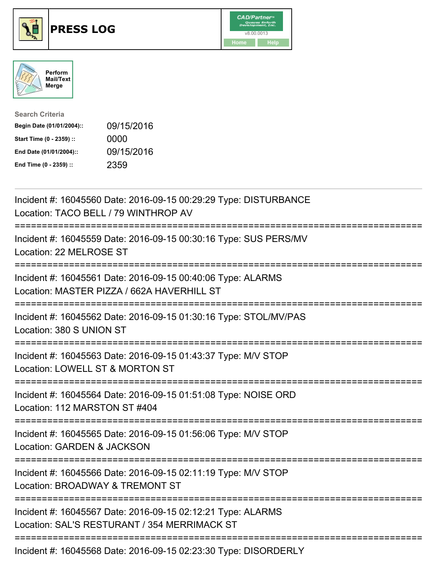





| <b>Search Criteria</b>    |            |
|---------------------------|------------|
| Begin Date (01/01/2004):: | 09/15/2016 |
| Start Time (0 - 2359) ::  | 0000       |
| End Date (01/01/2004)::   | 09/15/2016 |
| End Time (0 - 2359) ::    | 2359       |

| Incident #: 16045560 Date: 2016-09-15 00:29:29 Type: DISTURBANCE<br>Location: TACO BELL / 79 WINTHROP AV                                                  |
|-----------------------------------------------------------------------------------------------------------------------------------------------------------|
| Incident #: 16045559 Date: 2016-09-15 00:30:16 Type: SUS PERS/MV<br>Location: 22 MELROSE ST                                                               |
| Incident #: 16045561 Date: 2016-09-15 00:40:06 Type: ALARMS<br>Location: MASTER PIZZA / 662A HAVERHILL ST                                                 |
| Incident #: 16045562 Date: 2016-09-15 01:30:16 Type: STOL/MV/PAS<br>Location: 380 S UNION ST                                                              |
| Incident #: 16045563 Date: 2016-09-15 01:43:37 Type: M/V STOP<br>Location: LOWELL ST & MORTON ST                                                          |
| Incident #: 16045564 Date: 2016-09-15 01:51:08 Type: NOISE ORD<br>Location: 112 MARSTON ST #404                                                           |
| Incident #: 16045565 Date: 2016-09-15 01:56:06 Type: M/V STOP<br>Location: GARDEN & JACKSON                                                               |
| Incident #: 16045566 Date: 2016-09-15 02:11:19 Type: M/V STOP<br>Location: BROADWAY & TREMONT ST<br>========================<br>------------------------- |
| Incident #: 16045567 Date: 2016-09-15 02:12:21 Type: ALARMS<br>Location: SAL'S RESTURANT / 354 MERRIMACK ST                                               |
| ====================================<br>Incident #: 16045568 Date: 2016-09-15 02:23:30 Type: DISORDERLY                                                   |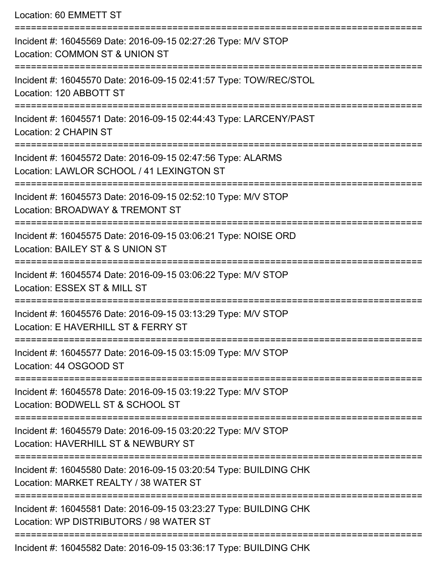Location: 60 EMMETT ST

| Incident #: 16045569 Date: 2016-09-15 02:27:26 Type: M/V STOP<br>Location: COMMON ST & UNION ST              |
|--------------------------------------------------------------------------------------------------------------|
| Incident #: 16045570 Date: 2016-09-15 02:41:57 Type: TOW/REC/STOL<br>Location: 120 ABBOTT ST                 |
| Incident #: 16045571 Date: 2016-09-15 02:44:43 Type: LARCENY/PAST<br>Location: 2 CHAPIN ST                   |
| Incident #: 16045572 Date: 2016-09-15 02:47:56 Type: ALARMS<br>Location: LAWLOR SCHOOL / 41 LEXINGTON ST     |
| Incident #: 16045573 Date: 2016-09-15 02:52:10 Type: M/V STOP<br>Location: BROADWAY & TREMONT ST             |
| Incident #: 16045575 Date: 2016-09-15 03:06:21 Type: NOISE ORD<br>Location: BAILEY ST & S UNION ST           |
| Incident #: 16045574 Date: 2016-09-15 03:06:22 Type: M/V STOP<br>Location: ESSEX ST & MILL ST                |
| Incident #: 16045576 Date: 2016-09-15 03:13:29 Type: M/V STOP<br>Location: E HAVERHILL ST & FERRY ST         |
| Incident #: 16045577 Date: 2016-09-15 03:15:09 Type: M/V STOP<br>Location: 44 OSGOOD ST                      |
| Incident #: 16045578 Date: 2016-09-15 03:19:22 Type: M/V STOP<br>Location: BODWELL ST & SCHOOL ST            |
| Incident #: 16045579 Date: 2016-09-15 03:20:22 Type: M/V STOP<br>Location: HAVERHILL ST & NEWBURY ST         |
| Incident #: 16045580 Date: 2016-09-15 03:20:54 Type: BUILDING CHK<br>Location: MARKET REALTY / 38 WATER ST   |
| Incident #: 16045581 Date: 2016-09-15 03:23:27 Type: BUILDING CHK<br>Location: WP DISTRIBUTORS / 98 WATER ST |
| Incident #: 16045582 Date: 2016-09-15 03:36:17 Type: BUILDING CHK                                            |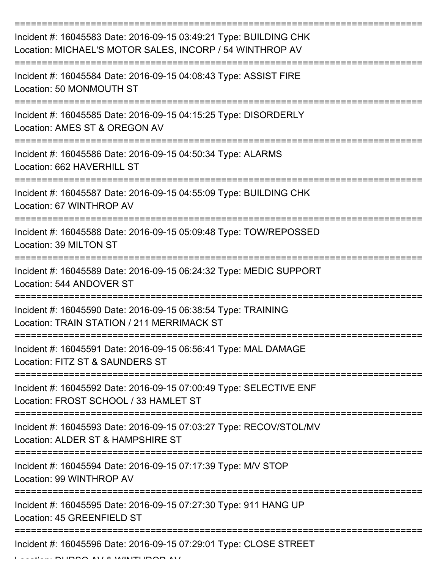| Incident #: 16045583 Date: 2016-09-15 03:49:21 Type: BUILDING CHK<br>Location: MICHAEL'S MOTOR SALES, INCORP / 54 WINTHROP AV |
|-------------------------------------------------------------------------------------------------------------------------------|
| Incident #: 16045584 Date: 2016-09-15 04:08:43 Type: ASSIST FIRE<br>Location: 50 MONMOUTH ST                                  |
| Incident #: 16045585 Date: 2016-09-15 04:15:25 Type: DISORDERLY<br>Location: AMES ST & OREGON AV                              |
| Incident #: 16045586 Date: 2016-09-15 04:50:34 Type: ALARMS<br>Location: 662 HAVERHILL ST                                     |
| Incident #: 16045587 Date: 2016-09-15 04:55:09 Type: BUILDING CHK<br>Location: 67 WINTHROP AV                                 |
| Incident #: 16045588 Date: 2016-09-15 05:09:48 Type: TOW/REPOSSED<br>Location: 39 MILTON ST                                   |
| Incident #: 16045589 Date: 2016-09-15 06:24:32 Type: MEDIC SUPPORT<br>Location: 544 ANDOVER ST                                |
| Incident #: 16045590 Date: 2016-09-15 06:38:54 Type: TRAINING<br>Location: TRAIN STATION / 211 MERRIMACK ST                   |
| Incident #: 16045591 Date: 2016-09-15 06:56:41 Type: MAL DAMAGE<br>Location: FITZ ST & SAUNDERS ST                            |
| Incident #: 16045592 Date: 2016-09-15 07:00:49 Type: SELECTIVE ENF<br>Location: FROST SCHOOL / 33 HAMLET ST                   |
| Incident #: 16045593 Date: 2016-09-15 07:03:27 Type: RECOV/STOL/MV<br>Location: ALDER ST & HAMPSHIRE ST                       |
| Incident #: 16045594 Date: 2016-09-15 07:17:39 Type: M/V STOP<br>Location: 99 WINTHROP AV                                     |
| Incident #: 16045595 Date: 2016-09-15 07:27:30 Type: 911 HANG UP<br>Location: 45 GREENFIELD ST                                |
| Incident #: 16045596 Date: 2016-09-15 07:29:01 Type: CLOSE STREET                                                             |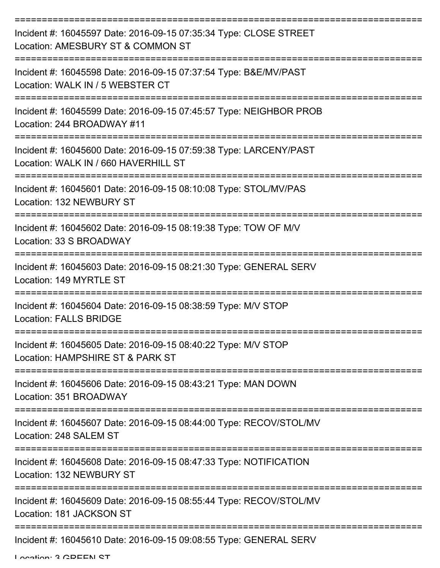| Incident #: 16045597 Date: 2016-09-15 07:35:34 Type: CLOSE STREET<br>Location: AMESBURY ST & COMMON ST    |
|-----------------------------------------------------------------------------------------------------------|
| Incident #: 16045598 Date: 2016-09-15 07:37:54 Type: B&E/MV/PAST<br>Location: WALK IN / 5 WEBSTER CT      |
| Incident #: 16045599 Date: 2016-09-15 07:45:57 Type: NEIGHBOR PROB<br>Location: 244 BROADWAY #11          |
| Incident #: 16045600 Date: 2016-09-15 07:59:38 Type: LARCENY/PAST<br>Location: WALK IN / 660 HAVERHILL ST |
| Incident #: 16045601 Date: 2016-09-15 08:10:08 Type: STOL/MV/PAS<br>Location: 132 NEWBURY ST              |
| Incident #: 16045602 Date: 2016-09-15 08:19:38 Type: TOW OF M/V<br>Location: 33 S BROADWAY                |
| Incident #: 16045603 Date: 2016-09-15 08:21:30 Type: GENERAL SERV<br>Location: 149 MYRTLE ST              |
| Incident #: 16045604 Date: 2016-09-15 08:38:59 Type: M/V STOP<br><b>Location: FALLS BRIDGE</b>            |
| Incident #: 16045605 Date: 2016-09-15 08:40:22 Type: M/V STOP<br>Location: HAMPSHIRE ST & PARK ST         |
| Incident #: 16045606 Date: 2016-09-15 08:43:21 Type: MAN DOWN<br>Location: 351 BROADWAY                   |
| Incident #: 16045607 Date: 2016-09-15 08:44:00 Type: RECOV/STOL/MV<br>Location: 248 SALEM ST              |
| Incident #: 16045608 Date: 2016-09-15 08:47:33 Type: NOTIFICATION<br>Location: 132 NEWBURY ST             |
| Incident #: 16045609 Date: 2016-09-15 08:55:44 Type: RECOV/STOL/MV<br>Location: 181 JACKSON ST            |
| Incident #: 16045610 Date: 2016-09-15 09:08:55 Type: GENERAL SERV                                         |

Location: 2 CDEEN ST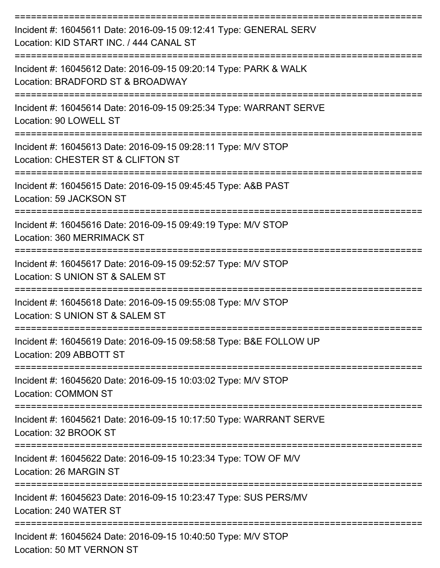| Incident #: 16045611 Date: 2016-09-15 09:12:41 Type: GENERAL SERV<br>Location: KID START INC. / 444 CANAL ST<br>========================= |
|-------------------------------------------------------------------------------------------------------------------------------------------|
| Incident #: 16045612 Date: 2016-09-15 09:20:14 Type: PARK & WALK<br>Location: BRADFORD ST & BROADWAY<br>---------------                   |
| Incident #: 16045614 Date: 2016-09-15 09:25:34 Type: WARRANT SERVE<br>Location: 90 LOWELL ST                                              |
| Incident #: 16045613 Date: 2016-09-15 09:28:11 Type: M/V STOP<br>Location: CHESTER ST & CLIFTON ST                                        |
| Incident #: 16045615 Date: 2016-09-15 09:45:45 Type: A&B PAST<br>Location: 59 JACKSON ST                                                  |
| Incident #: 16045616 Date: 2016-09-15 09:49:19 Type: M/V STOP<br>Location: 360 MERRIMACK ST                                               |
| Incident #: 16045617 Date: 2016-09-15 09:52:57 Type: M/V STOP<br>Location: S UNION ST & SALEM ST                                          |
| Incident #: 16045618 Date: 2016-09-15 09:55:08 Type: M/V STOP<br>Location: S UNION ST & SALEM ST                                          |
| Incident #: 16045619 Date: 2016-09-15 09:58:58 Type: B&E FOLLOW UP<br>Location: 209 ABBOTT ST                                             |
| Incident #: 16045620 Date: 2016-09-15 10:03:02 Type: M/V STOP<br><b>Location: COMMON ST</b>                                               |
| Incident #: 16045621 Date: 2016-09-15 10:17:50 Type: WARRANT SERVE<br>Location: 32 BROOK ST                                               |
| ------------------<br>Incident #: 16045622 Date: 2016-09-15 10:23:34 Type: TOW OF M/V<br>Location: 26 MARGIN ST                           |
| Incident #: 16045623 Date: 2016-09-15 10:23:47 Type: SUS PERS/MV<br>Location: 240 WATER ST                                                |
| Incident #: 16045624 Date: 2016-09-15 10:40:50 Type: M/V STOP<br>Location: 50 MT VERNON ST                                                |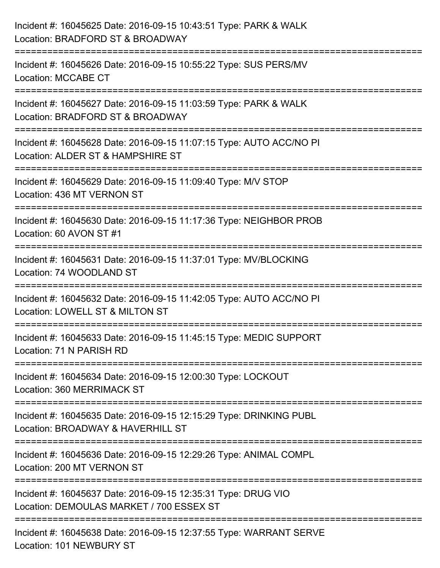| Incident #: 16045625 Date: 2016-09-15 10:43:51 Type: PARK & WALK<br>Location: BRADFORD ST & BROADWAY                            |
|---------------------------------------------------------------------------------------------------------------------------------|
| Incident #: 16045626 Date: 2016-09-15 10:55:22 Type: SUS PERS/MV<br><b>Location: MCCABE CT</b>                                  |
| Incident #: 16045627 Date: 2016-09-15 11:03:59 Type: PARK & WALK<br>Location: BRADFORD ST & BROADWAY<br>:====================== |
| Incident #: 16045628 Date: 2016-09-15 11:07:15 Type: AUTO ACC/NO PI<br>Location: ALDER ST & HAMPSHIRE ST                        |
| :===========================<br>Incident #: 16045629 Date: 2016-09-15 11:09:40 Type: M/V STOP<br>Location: 436 MT VERNON ST     |
| Incident #: 16045630 Date: 2016-09-15 11:17:36 Type: NEIGHBOR PROB<br>Location: 60 AVON ST #1                                   |
| Incident #: 16045631 Date: 2016-09-15 11:37:01 Type: MV/BLOCKING<br>Location: 74 WOODLAND ST                                    |
| Incident #: 16045632 Date: 2016-09-15 11:42:05 Type: AUTO ACC/NO PI<br>Location: LOWELL ST & MILTON ST                          |
| Incident #: 16045633 Date: 2016-09-15 11:45:15 Type: MEDIC SUPPORT<br>Location: 71 N PARISH RD                                  |
| Incident #: 16045634 Date: 2016-09-15 12:00:30 Type: LOCKOUT<br>Location: 360 MERRIMACK ST                                      |
| Incident #: 16045635 Date: 2016-09-15 12:15:29 Type: DRINKING PUBL<br>Location: BROADWAY & HAVERHILL ST                         |
| Incident #: 16045636 Date: 2016-09-15 12:29:26 Type: ANIMAL COMPL<br>Location: 200 MT VERNON ST                                 |
| Incident #: 16045637 Date: 2016-09-15 12:35:31 Type: DRUG VIO<br>Location: DEMOULAS MARKET / 700 ESSEX ST                       |
| Incident #: 16045638 Date: 2016-09-15 12:37:55 Type: WARRANT SERVE<br>Location: 101 NEWBURY ST                                  |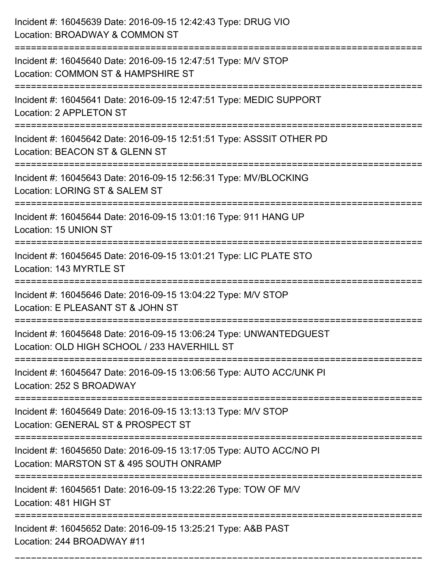| Incident #: 16045639 Date: 2016-09-15 12:42:43 Type: DRUG VIO<br>Location: BROADWAY & COMMON ST                              |
|------------------------------------------------------------------------------------------------------------------------------|
| Incident #: 16045640 Date: 2016-09-15 12:47:51 Type: M/V STOP<br>Location: COMMON ST & HAMPSHIRE ST                          |
| Incident #: 16045641 Date: 2016-09-15 12:47:51 Type: MEDIC SUPPORT<br>Location: 2 APPLETON ST                                |
| Incident #: 16045642 Date: 2016-09-15 12:51:51 Type: ASSSIT OTHER PD<br>Location: BEACON ST & GLENN ST                       |
| Incident #: 16045643 Date: 2016-09-15 12:56:31 Type: MV/BLOCKING<br>Location: LORING ST & SALEM ST<br>:===================== |
| Incident #: 16045644 Date: 2016-09-15 13:01:16 Type: 911 HANG UP<br>Location: 15 UNION ST                                    |
| Incident #: 16045645 Date: 2016-09-15 13:01:21 Type: LIC PLATE STO<br>Location: 143 MYRTLE ST                                |
| Incident #: 16045646 Date: 2016-09-15 13:04:22 Type: M/V STOP<br>Location: E PLEASANT ST & JOHN ST                           |
| Incident #: 16045648 Date: 2016-09-15 13:06:24 Type: UNWANTEDGUEST<br>Location: OLD HIGH SCHOOL / 233 HAVERHILL ST           |
| Incident #: 16045647 Date: 2016-09-15 13:06:56 Type: AUTO ACC/UNK PI<br>Location: 252 S BROADWAY                             |
| Incident #: 16045649 Date: 2016-09-15 13:13:13 Type: M/V STOP<br>Location: GENERAL ST & PROSPECT ST                          |
| Incident #: 16045650 Date: 2016-09-15 13:17:05 Type: AUTO ACC/NO PI<br>Location: MARSTON ST & 495 SOUTH ONRAMP               |
| Incident #: 16045651 Date: 2016-09-15 13:22:26 Type: TOW OF M/V<br>Location: 481 HIGH ST                                     |
| Incident #: 16045652 Date: 2016-09-15 13:25:21 Type: A&B PAST<br>Location: 244 BROADWAY #11                                  |

===========================================================================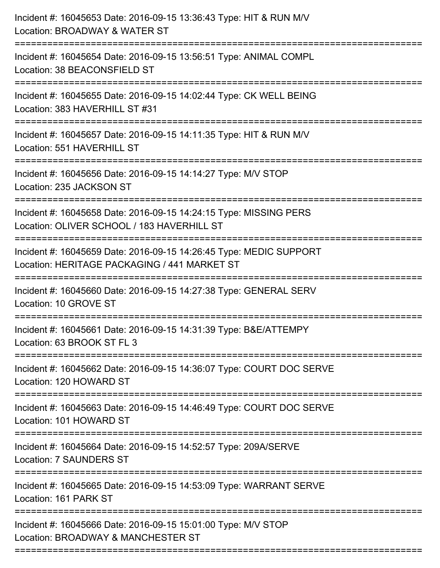| Incident #: 16045653 Date: 2016-09-15 13:36:43 Type: HIT & RUN M/V<br>Location: BROADWAY & WATER ST<br>=========================                      |
|-------------------------------------------------------------------------------------------------------------------------------------------------------|
| Incident #: 16045654 Date: 2016-09-15 13:56:51 Type: ANIMAL COMPL<br>Location: 38 BEACONSFIELD ST                                                     |
| Incident #: 16045655 Date: 2016-09-15 14:02:44 Type: CK WELL BEING<br>Location: 383 HAVERHILL ST #31<br>:=================================            |
| Incident #: 16045657 Date: 2016-09-15 14:11:35 Type: HIT & RUN M/V<br>Location: 551 HAVERHILL ST<br>------------------------------------              |
| Incident #: 16045656 Date: 2016-09-15 14:14:27 Type: M/V STOP<br>Location: 235 JACKSON ST                                                             |
| Incident #: 16045658 Date: 2016-09-15 14:24:15 Type: MISSING PERS<br>Location: OLIVER SCHOOL / 183 HAVERHILL ST<br>================================== |
| Incident #: 16045659 Date: 2016-09-15 14:26:45 Type: MEDIC SUPPORT<br>Location: HERITAGE PACKAGING / 441 MARKET ST                                    |
| Incident #: 16045660 Date: 2016-09-15 14:27:38 Type: GENERAL SERV<br>Location: 10 GROVE ST                                                            |
| Incident #: 16045661 Date: 2016-09-15 14:31:39 Type: B&E/ATTEMPY<br>Location: 63 BROOK ST FL 3                                                        |
| Incident #: 16045662 Date: 2016-09-15 14:36:07 Type: COURT DOC SERVE<br>Location: 120 HOWARD ST                                                       |
| Incident #: 16045663 Date: 2016-09-15 14:46:49 Type: COURT DOC SERVE<br>Location: 101 HOWARD ST                                                       |
| Incident #: 16045664 Date: 2016-09-15 14:52:57 Type: 209A/SERVE<br>Location: 7 SAUNDERS ST                                                            |
| Incident #: 16045665 Date: 2016-09-15 14:53:09 Type: WARRANT SERVE<br>Location: 161 PARK ST                                                           |
| Incident #: 16045666 Date: 2016-09-15 15:01:00 Type: M/V STOP<br>Location: BROADWAY & MANCHESTER ST                                                   |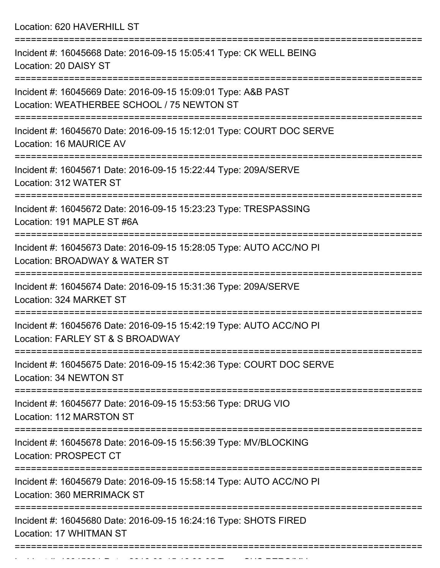Location: 620 HAVERHILL ST

| Incident #: 16045668 Date: 2016-09-15 15:05:41 Type: CK WELL BEING<br>Location: 20 DAISY ST                 |
|-------------------------------------------------------------------------------------------------------------|
| Incident #: 16045669 Date: 2016-09-15 15:09:01 Type: A&B PAST<br>Location: WEATHERBEE SCHOOL / 75 NEWTON ST |
| Incident #: 16045670 Date: 2016-09-15 15:12:01 Type: COURT DOC SERVE<br>Location: 16 MAURICE AV             |
| Incident #: 16045671 Date: 2016-09-15 15:22:44 Type: 209A/SERVE<br>Location: 312 WATER ST                   |
| Incident #: 16045672 Date: 2016-09-15 15:23:23 Type: TRESPASSING<br>Location: 191 MAPLE ST #6A              |
| Incident #: 16045673 Date: 2016-09-15 15:28:05 Type: AUTO ACC/NO PI<br>Location: BROADWAY & WATER ST        |
| Incident #: 16045674 Date: 2016-09-15 15:31:36 Type: 209A/SERVE<br>Location: 324 MARKET ST                  |
| Incident #: 16045676 Date: 2016-09-15 15:42:19 Type: AUTO ACC/NO PI<br>Location: FARLEY ST & S BROADWAY     |
| Incident #: 16045675 Date: 2016-09-15 15:42:36 Type: COURT DOC SERVE<br>Location: 34 NEWTON ST              |
| Incident #: 16045677 Date: 2016-09-15 15:53:56 Type: DRUG VIO<br>Location: 112 MARSTON ST                   |
| Incident #: 16045678 Date: 2016-09-15 15:56:39 Type: MV/BLOCKING<br><b>Location: PROSPECT CT</b>            |
| Incident #: 16045679 Date: 2016-09-15 15:58:14 Type: AUTO ACC/NO PI<br>Location: 360 MERRIMACK ST           |
| Incident #: 16045680 Date: 2016-09-15 16:24:16 Type: SHOTS FIRED<br>Location: 17 WHITMAN ST                 |
|                                                                                                             |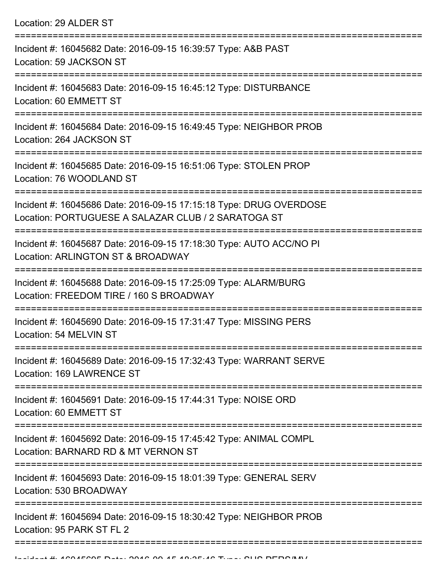Location: 29 ALDER ST =========================================================================== Incident #: 16045682 Date: 2016-09-15 16:39:57 Type: A&B PAST Location: 59 JACKSON ST =========================================================================== Incident #: 16045683 Date: 2016-09-15 16:45:12 Type: DISTURBANCE Location: 60 EMMETT ST =========================================================================== Incident #: 16045684 Date: 2016-09-15 16:49:45 Type: NEIGHBOR PROB Location: 264 JACKSON ST =========================================================================== Incident #: 16045685 Date: 2016-09-15 16:51:06 Type: STOLEN PROP Location: 76 WOODLAND ST =========================================================================== Incident #: 16045686 Date: 2016-09-15 17:15:18 Type: DRUG OVERDOSE Location: PORTUGUESE A SALAZAR CLUB / 2 SARATOGA ST =========================================================================== Incident #: 16045687 Date: 2016-09-15 17:18:30 Type: AUTO ACC/NO PI Location: ARLINGTON ST & BROADWAY =========================================================================== Incident #: 16045688 Date: 2016-09-15 17:25:09 Type: ALARM/BURG Location: FREEDOM TIRE / 160 S BROADWAY =========================================================================== Incident #: 16045690 Date: 2016-09-15 17:31:47 Type: MISSING PERS Location: 54 MELVIN ST =========================================================================== Incident #: 16045689 Date: 2016-09-15 17:32:43 Type: WARRANT SERVE Location: 169 LAWRENCE ST =========================================================================== Incident #: 16045691 Date: 2016-09-15 17:44:31 Type: NOISE ORD Location: 60 EMMETT ST =========================================================================== Incident #: 16045692 Date: 2016-09-15 17:45:42 Type: ANIMAL COMPL Location: BARNARD RD & MT VERNON ST =========================================================================== Incident #: 16045693 Date: 2016-09-15 18:01:39 Type: GENERAL SERV Location: 530 BROADWAY =========================================================================== Incident #: 16045694 Date: 2016-09-15 18:30:42 Type: NEIGHBOR PROB Location: 95 PARK ST FL 2

=============================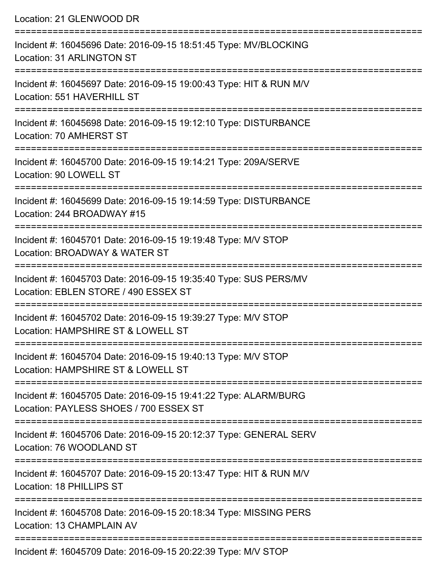| Location: 21 GLENWOOD DR                                                                                                                                             |
|----------------------------------------------------------------------------------------------------------------------------------------------------------------------|
| Incident #: 16045696 Date: 2016-09-15 18:51:45 Type: MV/BLOCKING<br><b>Location: 31 ARLINGTON ST</b><br>===================================                          |
| Incident #: 16045697 Date: 2016-09-15 19:00:43 Type: HIT & RUN M/V<br>Location: 551 HAVERHILL ST                                                                     |
| Incident #: 16045698 Date: 2016-09-15 19:12:10 Type: DISTURBANCE<br>Location: 70 AMHERST ST<br>:=================================<br>------------------------------- |
| Incident #: 16045700 Date: 2016-09-15 19:14:21 Type: 209A/SERVE<br>Location: 90 LOWELL ST                                                                            |
| Incident #: 16045699 Date: 2016-09-15 19:14:59 Type: DISTURBANCE<br>Location: 244 BROADWAY #15                                                                       |
| Incident #: 16045701 Date: 2016-09-15 19:19:48 Type: M/V STOP<br>Location: BROADWAY & WATER ST                                                                       |
| :====================================<br>Incident #: 16045703 Date: 2016-09-15 19:35:40 Type: SUS PERS/MV<br>Location: EBLEN STORE / 490 ESSEX ST                    |
| Incident #: 16045702 Date: 2016-09-15 19:39:27 Type: M/V STOP<br>Location: HAMPSHIRE ST & LOWELL ST                                                                  |
| Incident #: 16045704 Date: 2016-09-15 19:40:13 Type: M/V STOP<br>Location: HAMPSHIRE ST & LOWELL ST                                                                  |
| Incident #: 16045705 Date: 2016-09-15 19:41:22 Type: ALARM/BURG<br>Location: PAYLESS SHOES / 700 ESSEX ST                                                            |
| Incident #: 16045706 Date: 2016-09-15 20:12:37 Type: GENERAL SERV<br>Location: 76 WOODLAND ST                                                                        |
| Incident #: 16045707 Date: 2016-09-15 20:13:47 Type: HIT & RUN M/V<br>Location: 18 PHILLIPS ST                                                                       |
| Incident #: 16045708 Date: 2016-09-15 20:18:34 Type: MISSING PERS<br>Location: 13 CHAMPLAIN AV                                                                       |
| Incident #: 16045700 Date: 2016.00.15.20:22:20 Type: MAI STOR                                                                                                        |

Incident #: 16045709 Date: 2016-09-15 20:22:39 Type: M/V STOP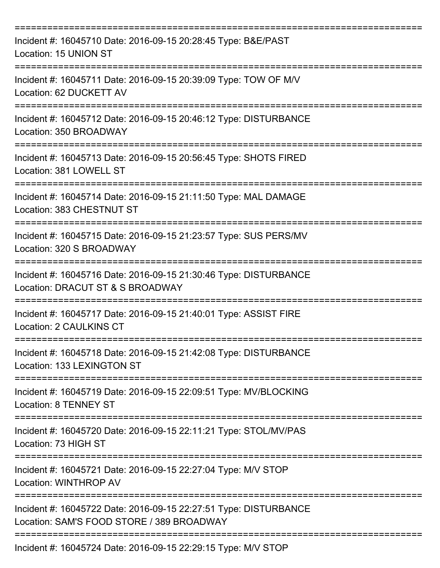| Incident #: 16045710 Date: 2016-09-15 20:28:45 Type: B&E/PAST<br>Location: 15 UNION ST                        |
|---------------------------------------------------------------------------------------------------------------|
| Incident #: 16045711 Date: 2016-09-15 20:39:09 Type: TOW OF M/V<br>Location: 62 DUCKETT AV                    |
| Incident #: 16045712 Date: 2016-09-15 20:46:12 Type: DISTURBANCE<br>Location: 350 BROADWAY                    |
| Incident #: 16045713 Date: 2016-09-15 20:56:45 Type: SHOTS FIRED<br>Location: 381 LOWELL ST                   |
| Incident #: 16045714 Date: 2016-09-15 21:11:50 Type: MAL DAMAGE<br>Location: 383 CHESTNUT ST                  |
| Incident #: 16045715 Date: 2016-09-15 21:23:57 Type: SUS PERS/MV<br>Location: 320 S BROADWAY                  |
| Incident #: 16045716 Date: 2016-09-15 21:30:46 Type: DISTURBANCE<br>Location: DRACUT ST & S BROADWAY          |
| Incident #: 16045717 Date: 2016-09-15 21:40:01 Type: ASSIST FIRE<br><b>Location: 2 CAULKINS CT</b>            |
| Incident #: 16045718 Date: 2016-09-15 21:42:08 Type: DISTURBANCE<br>Location: 133 LEXINGTON ST                |
| Incident #: 16045719 Date: 2016-09-15 22:09:51 Type: MV/BLOCKING<br><b>Location: 8 TENNEY ST</b>              |
| Incident #: 16045720 Date: 2016-09-15 22:11:21 Type: STOL/MV/PAS<br>Location: 73 HIGH ST                      |
| Incident #: 16045721 Date: 2016-09-15 22:27:04 Type: M/V STOP<br>Location: WINTHROP AV                        |
| Incident #: 16045722 Date: 2016-09-15 22:27:51 Type: DISTURBANCE<br>Location: SAM'S FOOD STORE / 389 BROADWAY |
| Incident #: 16045724 Date: 2016-09-15 22:29:15 Type: M/V STOP                                                 |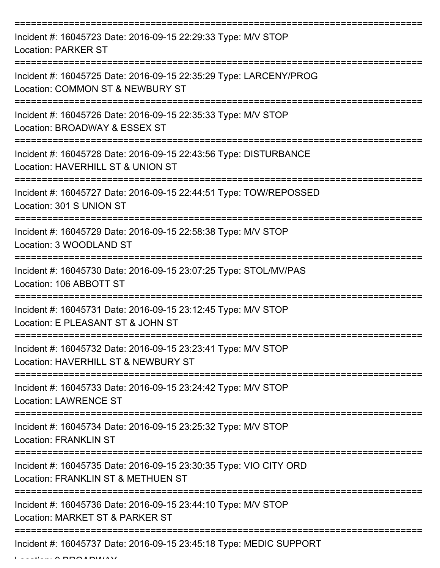| Incident #: 16045723 Date: 2016-09-15 22:29:33 Type: M/V STOP<br><b>Location: PARKER ST</b>             |
|---------------------------------------------------------------------------------------------------------|
| Incident #: 16045725 Date: 2016-09-15 22:35:29 Type: LARCENY/PROG<br>Location: COMMON ST & NEWBURY ST   |
| Incident #: 16045726 Date: 2016-09-15 22:35:33 Type: M/V STOP<br>Location: BROADWAY & ESSEX ST          |
| Incident #: 16045728 Date: 2016-09-15 22:43:56 Type: DISTURBANCE<br>Location: HAVERHILL ST & UNION ST   |
| Incident #: 16045727 Date: 2016-09-15 22:44:51 Type: TOW/REPOSSED<br>Location: 301 S UNION ST           |
| Incident #: 16045729 Date: 2016-09-15 22:58:38 Type: M/V STOP<br>Location: 3 WOODLAND ST                |
| Incident #: 16045730 Date: 2016-09-15 23:07:25 Type: STOL/MV/PAS<br>Location: 106 ABBOTT ST             |
| Incident #: 16045731 Date: 2016-09-15 23:12:45 Type: M/V STOP<br>Location: E PLEASANT ST & JOHN ST      |
| Incident #: 16045732 Date: 2016-09-15 23:23:41 Type: M/V STOP<br>Location: HAVERHILL ST & NEWBURY ST    |
| Incident #: 16045733 Date: 2016-09-15 23:24:42 Type: M/V STOP<br><b>Location: LAWRENCE ST</b>           |
| Incident #: 16045734 Date: 2016-09-15 23:25:32 Type: M/V STOP<br><b>Location: FRANKLIN ST</b>           |
| Incident #: 16045735 Date: 2016-09-15 23:30:35 Type: VIO CITY ORD<br>Location: FRANKLIN ST & METHUEN ST |
| Incident #: 16045736 Date: 2016-09-15 23:44:10 Type: M/V STOP<br>Location: MARKET ST & PARKER ST        |
| Incident #: 16045737 Date: 2016-09-15 23:45:18 Type: MEDIC SUPPORT                                      |

 $L = L L L L L$   $\Lambda$  BB $\Lambda$ ABWAY